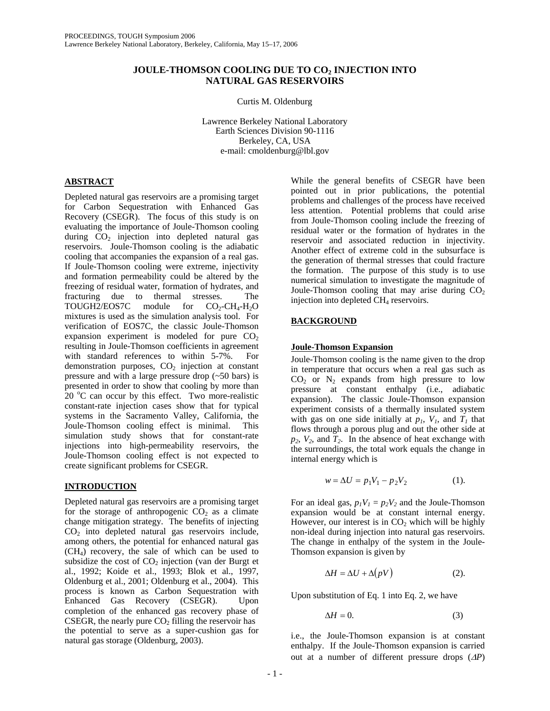# **JOULE-THOMSON COOLING DUE TO CO2 INJECTION INTO NATURAL GAS RESERVOIRS**

Curtis M. Oldenburg

Lawrence Berkeley National Laboratory Earth Sciences Division 90-1116 Berkeley, CA, USA e-mail: cmoldenburg@lbl.gov

# **ABSTRACT**

Depleted natural gas reservoirs are a promising target for Carbon Sequestration with Enhanced Gas Recovery (CSEGR). The focus of this study is on evaluating the importance of Joule-Thomson cooling during  $CO<sub>2</sub>$  injection into depleted natural gas reservoirs. Joule-Thomson cooling is the adiabatic cooling that accompanies the expansion of a real gas. If Joule-Thomson cooling were extreme, injectivity and formation permeability could be altered by the freezing of residual water, formation of hydrates, and fracturing due to thermal stresses. The TOUGH2/EOS7C module for  $CO_2$ -CH<sub>4</sub>-H<sub>2</sub>O mixtures is used as the simulation analysis tool. For verification of EOS7C, the classic Joule-Thomson expansion experiment is modeled for pure  $CO<sub>2</sub>$ resulting in Joule-Thomson coefficients in agreement with standard references to within 5-7%. For demonstration purposes,  $CO<sub>2</sub>$  injection at constant pressure and with a large pressure drop (~50 bars) is presented in order to show that cooling by more than  $20^{\circ}$ C can occur by this effect. Two more-realistic constant-rate injection cases show that for typical systems in the Sacramento Valley, California, the Joule-Thomson cooling effect is minimal. This simulation study shows that for constant-rate injections into high-permeability reservoirs, the Joule-Thomson cooling effect is not expected to create significant problems for CSEGR.

# **INTRODUCTION**

Depleted natural gas reservoirs are a promising target for the storage of anthropogenic  $CO<sub>2</sub>$  as a climate change mitigation strategy. The benefits of injecting  $CO<sub>2</sub>$  into depleted natural gas reservoirs include, among others, the potential for enhanced natural gas (CH4) recovery, the sale of which can be used to subsidize the cost of  $CO<sub>2</sub>$  injection (van der Burgt et al., 1992; Koide et al., 1993; Blok et al., 1997, Oldenburg et al., 2001; Oldenburg et al., 2004). This process is known as Carbon Sequestration with Enhanced Gas Recovery (CSEGR). Upon completion of the enhanced gas recovery phase of CSEGR, the nearly pure  $CO<sub>2</sub>$  filling the reservoir has the potential to serve as a super-cushion gas for natural gas storage (Oldenburg, 2003).

While the general benefits of CSEGR have been pointed out in prior publications, the potential problems and challenges of the process have received less attention. Potential problems that could arise from Joule-Thomson cooling include the freezing of residual water or the formation of hydrates in the reservoir and associated reduction in injectivity. Another effect of extreme cold in the subsurface is the generation of thermal stresses that could fracture the formation. The purpose of this study is to use numerical simulation to investigate the magnitude of Joule-Thomson cooling that may arise during  $CO<sub>2</sub>$ injection into depleted CH<sub>4</sub> reservoirs.

# **BACKGROUND**

# **Joule-Thomson Expansion**

Joule-Thomson cooling is the name given to the drop in temperature that occurs when a real gas such as  $CO<sub>2</sub>$  or  $N<sub>2</sub>$  expands from high pressure to low pressure at constant enthalpy (i.e., adiabatic expansion). The classic Joule-Thomson expansion experiment consists of a thermally insulated system with gas on one side initially at  $p_1$ ,  $V_1$ , and  $T_1$  that flows through a porous plug and out the other side at  $p_2$ ,  $V_2$ , and  $T_2$ . In the absence of heat exchange with the surroundings, the total work equals the change in internal energy which is

$$
w = \Delta U = p_1 V_1 - p_2 V_2 \tag{1}.
$$

For an ideal gas,  $p_1V_1 = p_2V_2$  and the Joule-Thomson expansion would be at constant internal energy. However, our interest is in  $CO<sub>2</sub>$  which will be highly non-ideal during injection into natural gas reservoirs. The change in enthalpy of the system in the Joule-Thomson expansion is given by

$$
\Delta H = \Delta U + \Delta (pV) \tag{2}.
$$

Upon substitution of Eq. 1 into Eq. 2, we have

$$
\Delta H = 0. \tag{3}
$$

i.e., the Joule-Thomson expansion is at constant enthalpy. If the Joule-Thomson expansion is carried out at a number of different pressure drops (∆*P*)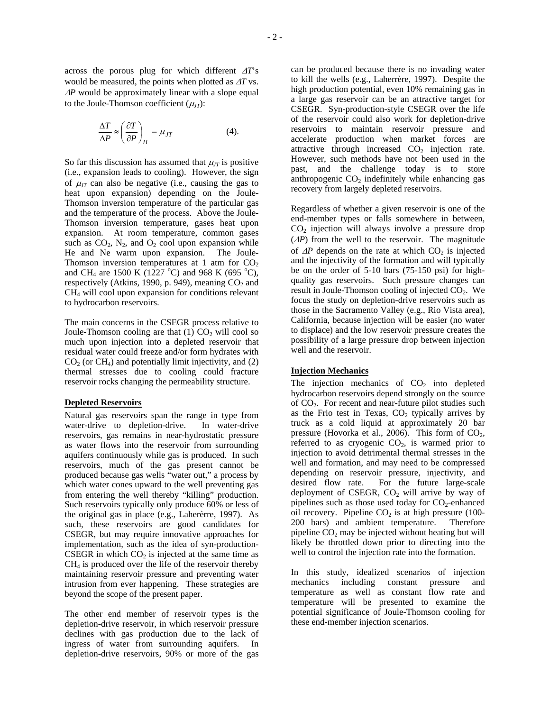across the porous plug for which different <sup>∆</sup>*T*'s would be measured, the points when plotted as ∆*T* vs. <sup>∆</sup>*P* would be approximately linear with a slope equal to the Joule-Thomson coefficient  $(\mu_{IT})$ :

$$
\frac{\Delta T}{\Delta P} \approx \left(\frac{\partial T}{\partial P}\right)_H = \mu_{JT} \tag{4}
$$

So far this discussion has assumed that  $\mu_{IT}$  is positive (i.e., expansion leads to cooling). However, the sign of  $\mu_{IT}$  can also be negative (i.e., causing the gas to heat upon expansion) depending on the Joule-Thomson inversion temperature of the particular gas and the temperature of the process. Above the Joule-Thomson inversion temperature, gases heat upon expansion. At room temperature, common gases such as  $CO<sub>2</sub>$ , N<sub>2</sub>, and  $O<sub>2</sub>$  cool upon expansion while He and Ne warm upon expansion. The Joule-Thomson inversion temperatures at 1 atm for  $CO<sub>2</sub>$ and CH<sub>4</sub> are 1500 K (1227 °C) and 968 K (695 °C), respectively (Atkins, 1990, p. 949), meaning  $CO<sub>2</sub>$  and CH4 will cool upon expansion for conditions relevant to hydrocarbon reservoirs.

The main concerns in the CSEGR process relative to Joule-Thomson cooling are that  $(1)$  CO<sub>2</sub> will cool so much upon injection into a depleted reservoir that residual water could freeze and/or form hydrates with  $CO<sub>2</sub>$  (or  $CH<sub>4</sub>$ ) and potentially limit injectivity, and (2) thermal stresses due to cooling could fracture reservoir rocks changing the permeability structure.

#### **Depleted Reservoirs**

Natural gas reservoirs span the range in type from water-drive to depletion-drive. In water-drive reservoirs, gas remains in near-hydrostatic pressure as water flows into the reservoir from surrounding aquifers continuously while gas is produced. In such reservoirs, much of the gas present cannot be produced because gas wells "water out," a process by which water cones upward to the well preventing gas from entering the well thereby "killing" production. Such reservoirs typically only produce 60% or less of the original gas in place (e.g., Laherèrre, 1997). As such, these reservoirs are good candidates for CSEGR, but may require innovative approaches for implementation, such as the idea of syn-production-CSEGR in which  $CO<sub>2</sub>$  is injected at the same time as CH4 is produced over the life of the reservoir thereby maintaining reservoir pressure and preventing water intrusion from ever happening. These strategies are beyond the scope of the present paper.

The other end member of reservoir types is the depletion-drive reservoir, in which reservoir pressure declines with gas production due to the lack of ingress of water from surrounding aquifers. In depletion-drive reservoirs, 90% or more of the gas

can be produced because there is no invading water to kill the wells (e.g., Laherrère, 1997). Despite the high production potential, even 10% remaining gas in a large gas reservoir can be an attractive target for CSEGR. Syn-production-style CSEGR over the life of the reservoir could also work for depletion-drive reservoirs to maintain reservoir pressure and accelerate production when market forces are attractive through increased  $CO<sub>2</sub>$  injection rate. However, such methods have not been used in the past, and the challenge today is to store anthropogenic  $CO<sub>2</sub>$  indefinitely while enhancing gas recovery from largely depleted reservoirs.

Regardless of whether a given reservoir is one of the end-member types or falls somewhere in between,  $CO<sub>2</sub>$  injection will always involve a pressure drop (∆*P*) from the well to the reservoir. The magnitude of  $\Delta P$  depends on the rate at which  $CO_2$  is injected and the injectivity of the formation and will typically be on the order of 5-10 bars (75-150 psi) for highquality gas reservoirs. Such pressure changes can result in Joule-Thomson cooling of injected CO<sub>2</sub>. We focus the study on depletion-drive reservoirs such as those in the Sacramento Valley (e.g., Rio Vista area), California, because injection will be easier (no water to displace) and the low reservoir pressure creates the possibility of a large pressure drop between injection well and the reservoir.

## **Injection Mechanics**

The injection mechanics of  $CO<sub>2</sub>$  into depleted hydrocarbon reservoirs depend strongly on the source of CO2. For recent and near-future pilot studies such as the Frio test in Texas,  $CO<sub>2</sub>$  typically arrives by truck as a cold liquid at approximately 20 bar pressure (Hovorka et al., 2006). This form of  $CO<sub>2</sub>$ , referred to as cryogenic  $CO<sub>2</sub>$ , is warmed prior to injection to avoid detrimental thermal stresses in the well and formation, and may need to be compressed depending on reservoir pressure, injectivity, and desired flow rate. For the future large-scale deployment of CSEGR,  $CO<sub>2</sub>$  will arrive by way of pipelines such as those used today for  $CO_2$ -enhanced oil recovery. Pipeline  $CO<sub>2</sub>$  is at high pressure (100-<br>200 bars) and ambient temperature. Therefore 200 bars) and ambient temperature. pipeline  $CO<sub>2</sub>$  may be injected without heating but will likely be throttled down prior to directing into the well to control the injection rate into the formation.

In this study, idealized scenarios of injection mechanics including constant pressure and temperature as well as constant flow rate and temperature will be presented to examine the potential significance of Joule-Thomson cooling for these end-member injection scenarios.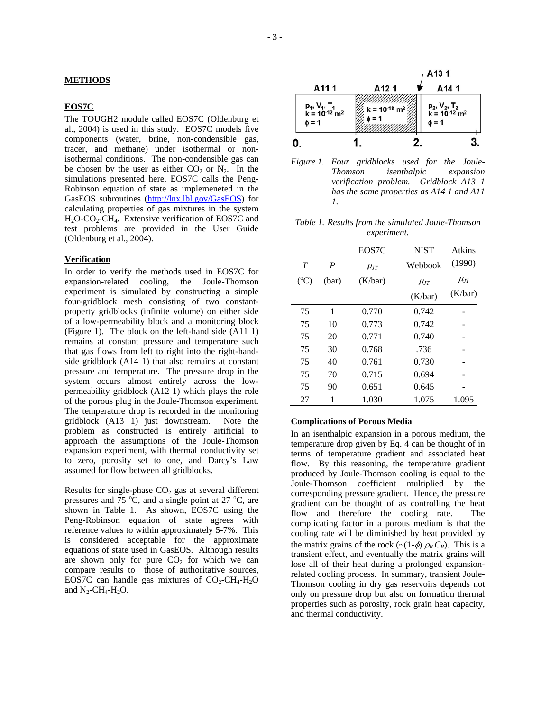#### **EOS7C**

The TOUGH2 module called EOS7C (Oldenburg et al., 2004) is used in this study. EOS7C models five components (water, brine, non-condensible gas, tracer, and methane) under isothermal or nonisothermal conditions. The non-condensible gas can be chosen by the user as either  $CO<sub>2</sub>$  or  $N<sub>2</sub>$ . In the simulations presented here, EOS7C calls the Peng-Robinson equation of state as implemeneted in the GasEOS subroutines [\(http://lnx.lbl.gov/GasEOS\)](http://lnx.lbl.gov/GasEOS) for calculating properties of gas mixtures in the system  $H_2O-CO_2-CH_4$ . Extensive verification of EOS7C and test problems are provided in the User Guide (Oldenburg et al., 2004).

## **Verification**

In order to verify the methods used in EOS7C for expansion-related cooling, the Joule-Thomson experiment is simulated by constructing a simple four-gridblock mesh consisting of two constantproperty gridblocks (infinite volume) on either side of a low-permeability block and a monitoring block (Figure 1). The block on the left-hand side (A11 1) remains at constant pressure and temperature such that gas flows from left to right into the right-handside gridblock (A14 1) that also remains at constant pressure and temperature. The pressure drop in the system occurs almost entirely across the lowpermeability gridblock (A12 1) which plays the role of the porous plug in the Joule-Thomson experiment. The temperature drop is recorded in the monitoring gridblock (A13 1) just downstream. Note the problem as constructed is entirely artificial to approach the assumptions of the Joule-Thomson expansion experiment, with thermal conductivity set to zero, porosity set to one, and Darcy's Law assumed for flow between all gridblocks.

Results for single-phase  $CO<sub>2</sub>$  gas at several different pressures and  $75^{\circ}$ C, and a single point at 27  $^{\circ}$ C, are shown in Table 1. As shown, EOS7C using the Peng-Robinson equation of state agrees with reference values to within approximately 5-7%. This is considered acceptable for the approximate equations of state used in GasEOS. Although results are shown only for pure  $CO<sub>2</sub>$  for which we can compare results to those of authoritative sources, EOS7C can handle gas mixtures of  $CO<sub>2</sub>-CH<sub>4</sub>-H<sub>2</sub>O$ and  $N_2$ -CH<sub>4</sub>-H<sub>2</sub>O.



*Figure 1. Four gridblocks used for the Joule-Thomson isenthalpic expansion verification problem. Gridblock A13 1 has the same properties as A14 1 and A11 1.* 

*Table 1. Results from the simulated Joule-Thomson experiment.* 

|                 |       | EOS7C      | <b>NIST</b> | Atkins     |
|-----------------|-------|------------|-------------|------------|
| T               | P     | $\mu_{IT}$ | Webbook     | (1990)     |
| $({}^{\circ}C)$ | (bar) | (K/bar)    | $\mu_{IT}$  | $\mu_{JT}$ |
|                 |       |            | (K/bar)     | (K/bar)    |
| 75              | 1     | 0.770      | 0.742       |            |
| 75              | 10    | 0.773      | 0.742       |            |
| 75              | 20    | 0.771      | 0.740       |            |
| 75              | 30    | 0.768      | .736        |            |
| 75              | 40    | 0.761      | 0.730       |            |
| 75              | 70    | 0.715      | 0.694       |            |
| 75              | 90    | 0.651      | 0.645       |            |
| 27              | 1     | 1.030      | 1.075       | 1.095      |

#### **Complications of Porous Media**

In an isenthalpic expansion in a porous medium, the temperature drop given by Eq. 4 can be thought of in terms of temperature gradient and associated heat flow. By this reasoning, the temperature gradient produced by Joule-Thomson cooling is equal to the Joule-Thomson coefficient multiplied by the corresponding pressure gradient. Hence, the pressure gradient can be thought of as controlling the heat flow and therefore the cooling rate. The complicating factor in a porous medium is that the cooling rate will be diminished by heat provided by the matrix grains of the rock ( $\sim$ (1- $\phi$ )  $\rho_R C_R$ ). This is a transient effect, and eventually the matrix grains will lose all of their heat during a prolonged expansionrelated cooling process. In summary, transient Joule-Thomson cooling in dry gas reservoirs depends not only on pressure drop but also on formation thermal properties such as porosity, rock grain heat capacity, and thermal conductivity.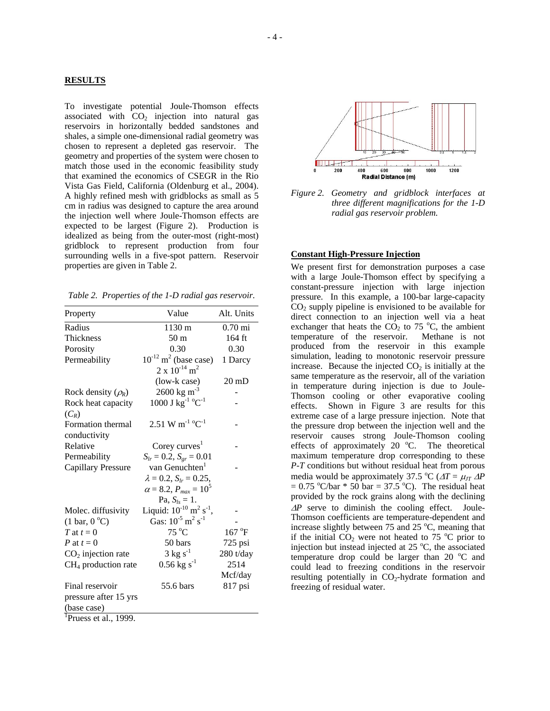#### **RESULTS**

To investigate potential Joule-Thomson effects associated with  $CO<sub>2</sub>$  injection into natural gas reservoirs in horizontally bedded sandstones and shales, a simple one-dimensional radial geometry was chosen to represent a depleted gas reservoir. The geometry and properties of the system were chosen to match those used in the economic feasibility study that examined the economics of CSEGR in the Rio Vista Gas Field, California (Oldenburg et al., 2004). A highly refined mesh with gridblocks as small as 5 cm in radius was designed to capture the area around the injection well where Joule-Thomson effects are expected to be largest (Figure 2). Production is idealized as being from the outer-most (right-most) gridblock to represent production from four surrounding wells in a five-spot pattern. Reservoir properties are given in Table 2.

*Table 2. Properties of the 1-D radial gas reservoir.* 

| Property                             | Value                                                 | Alt. Units               |
|--------------------------------------|-------------------------------------------------------|--------------------------|
| Radius                               | 1130 m                                                | $0.70$ mi                |
| <b>Thickness</b>                     | 50 <sub>m</sub>                                       | 164 ft                   |
| Porosity                             | 0.30                                                  | 0.30                     |
| Permeability                         | $10^{-12}$ m <sup>2</sup> (base case)                 | 1 Darcy                  |
|                                      | $2 \times 10^{-14}$ m <sup>2</sup>                    |                          |
|                                      | (low-k case)                                          | $20 \text{ }\mathrm{m}D$ |
| Rock density $(\rho_R)$              | $2600 \text{ kg m}^{-3}$                              |                          |
| Rock heat capacity                   | 1000 J kg <sup>-1</sup> °C <sup>-1</sup>              |                          |
| $(C_R)$                              |                                                       |                          |
| Formation thermal                    | $2.51 \text{ W m}^{-1} \text{ }^{\circ}\text{C}^{-1}$ |                          |
| conductivity                         |                                                       |                          |
| Relative                             | Corey curves <sup>1</sup>                             |                          |
| Permeability                         | $S_{lr} = 0.2$ , $S_{gr} = 0.01$                      |                          |
| <b>Capillary Pressure</b>            | van Genuchten <sup>1</sup>                            |                          |
|                                      | $\lambda = 0.2$ , $S_{lr} = 0.25$ ,                   |                          |
|                                      | $\alpha = 8.2, P_{max} = 10^5$                        |                          |
|                                      | Pa, $S_{ls} = 1$ .                                    |                          |
| Molec. diffusivity                   | Liquid: $10^{-10}$ m <sup>2</sup> s <sup>-1</sup> ,   |                          |
| $(1 \text{ bar}, 0^{\circ}\text{C})$ | Gas: $10^{-5}$ m <sup>2</sup> s <sup>-1</sup>         |                          |
| T at $t=0$                           | $75^{\circ}$ C                                        | 167 °F                   |
| P at $t=0$                           | 50 bars                                               | $725$ psi                |
| $CO2$ injection rate                 | $3 \text{ kg s}^{-1}$                                 | 280 t/day                |
| $CH4$ production rate                | $0.56 \text{ kg s}^{-1}$                              | 2514                     |
|                                      |                                                       | Mcf/day                  |
| Final reservoir                      | 55.6 bars                                             | 817 psi                  |
| pressure after 15 yrs                |                                                       |                          |
| (base case)                          |                                                       |                          |
| <sup>1</sup> Pruess et al., 1999.    |                                                       |                          |



*Figure 2. Geometry and gridblock interfaces at three different magnifications for the 1-D radial gas reservoir problem.*

## **Constant High-Pressure Injection**

We present first for demonstration purposes a case with a large Joule-Thomson effect by specifying a constant-pressure injection with large injection pressure. In this example, a 100-bar large-capacity  $CO<sub>2</sub>$  supply pipeline is envisioned to be available for direct connection to an injection well via a heat exchanger that heats the  $CO<sub>2</sub>$  to 75 °C, the ambient temperature of the reservoir. Methane is not produced from the reservoir in this example simulation, leading to monotonic reservoir pressure increase. Because the injected  $CO<sub>2</sub>$  is initially at the same temperature as the reservoir, all of the variation in temperature during injection is due to Joule-Thomson cooling or other evaporative cooling effects. Shown in Figure 3 are results for this extreme case of a large pressure injection. Note that the pressure drop between the injection well and the reservoir causes strong Joule-Thomson cooling effects of approximately  $20^{\circ}$ C. The theoretical maximum temperature drop corresponding to these *P-T* conditions but without residual heat from porous media would be approximately 37.5 °C ( $\Delta T = \mu_{IT} \Delta P$  $= 0.75$  °C/bar  $* 50$  bar  $= 37.5$  °C). The residual heat provided by the rock grains along with the declining <sup>∆</sup>*P* serve to diminish the cooling effect. Joule-Thomson coefficients are temperature-dependent and increase slightly between 75 and 25  $^{\circ}$ C, meaning that if the initial  $CO_2$  were not heated to 75 °C prior to injection but instead injected at  $25^{\circ}$ C, the associated temperature drop could be larger than 20 $\,^{\circ}$ C and could lead to freezing conditions in the reservoir resulting potentially in  $CO<sub>2</sub>$ -hydrate formation and freezing of residual water.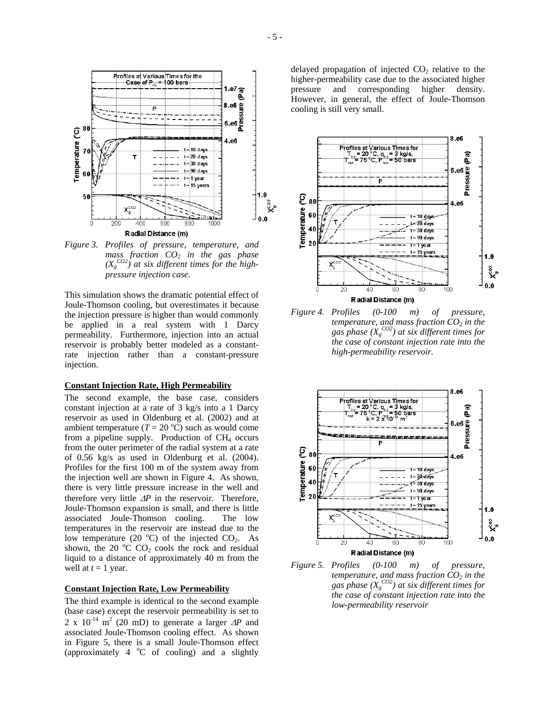

*Figure 3. Profiles of pressure, temperature, and mass fraction CO2 in the gas phase*   $(X_g^{CO2})$  at six different times for the high*pressure injection case.* 

This simulation shows the dramatic potential effect of Joule-Thomson cooling, but overestimates it because the injection pressure is higher than would commonly be applied in a real system with 1 Darcy permeability. Furthermore, injection into an actual reservoir is probably better modeled as a constantrate injection rather than a constant-pressure injection.

#### **Constant Injection Rate, High Permeability**

The second example, the base case, considers constant injection at a rate of 3 kg/s into a 1 Darcy reservoir as used in Oldenburg et al. (2002) and at ambient temperature  $(T = 20 \degree C)$  such as would come from a pipeline supply. Production of  $CH<sub>4</sub>$  occurs from the outer perimeter of the radial system at a rate of 0.56 kg/s as used in Oldenburg et al. (2004). Profiles for the first 100 m of the system away from the injection well are shown in Figure 4. As shown, there is very little pressure increase in the well and therefore very little ∆*P* in the reservoir. Therefore, Joule-Thomson expansion is small, and there is little associated Joule-Thomson cooling. The low temperatures in the reservoir are instead due to the low temperature (20  $^{\circ}$ C) of the injected CO<sub>2</sub>. As shown, the 20  $\rm{^{\circ}C}$  CO<sub>2</sub> cools the rock and residual liquid to a distance of approximately 40 m from the well at  $t = 1$  year.

#### **Constant Injection Rate, Low Permeability**

The third example is identical to the second example (base case) except the reservoir permeability is set to 2 x 10<sup>-14</sup> m<sup>2</sup> (20 mD) to generate a larger  $\Delta P$  and associated Joule-Thomson cooling effect. As shown in Figure 5, there is a small Joule-Thomson effect (approximately 4  $^{\circ}$ C of cooling) and a slightly delayed propagation of injected  $CO<sub>2</sub>$  relative to the higher-permeability case due to the associated higher pressure and corresponding higher density. However, in general, the effect of Joule-Thomson cooling is still very small.



*Figure 4. Profiles (0-100 m) of pressure, temperature, and mass fraction*  $CO<sub>2</sub>$  *in the* gas phase  $(X_g^{CO2})$  at six different times for *the case of constant injection rate into the high-permeability reservoir.* 



*Figure 5. Profiles (0-100 m) of pressure, temperature, and mass fraction*  $CO<sub>2</sub>$  *in the* gas phase  $(X_g^{CO2})$  at six different times for *the case of constant injection rate into the low-permeability reservoir*